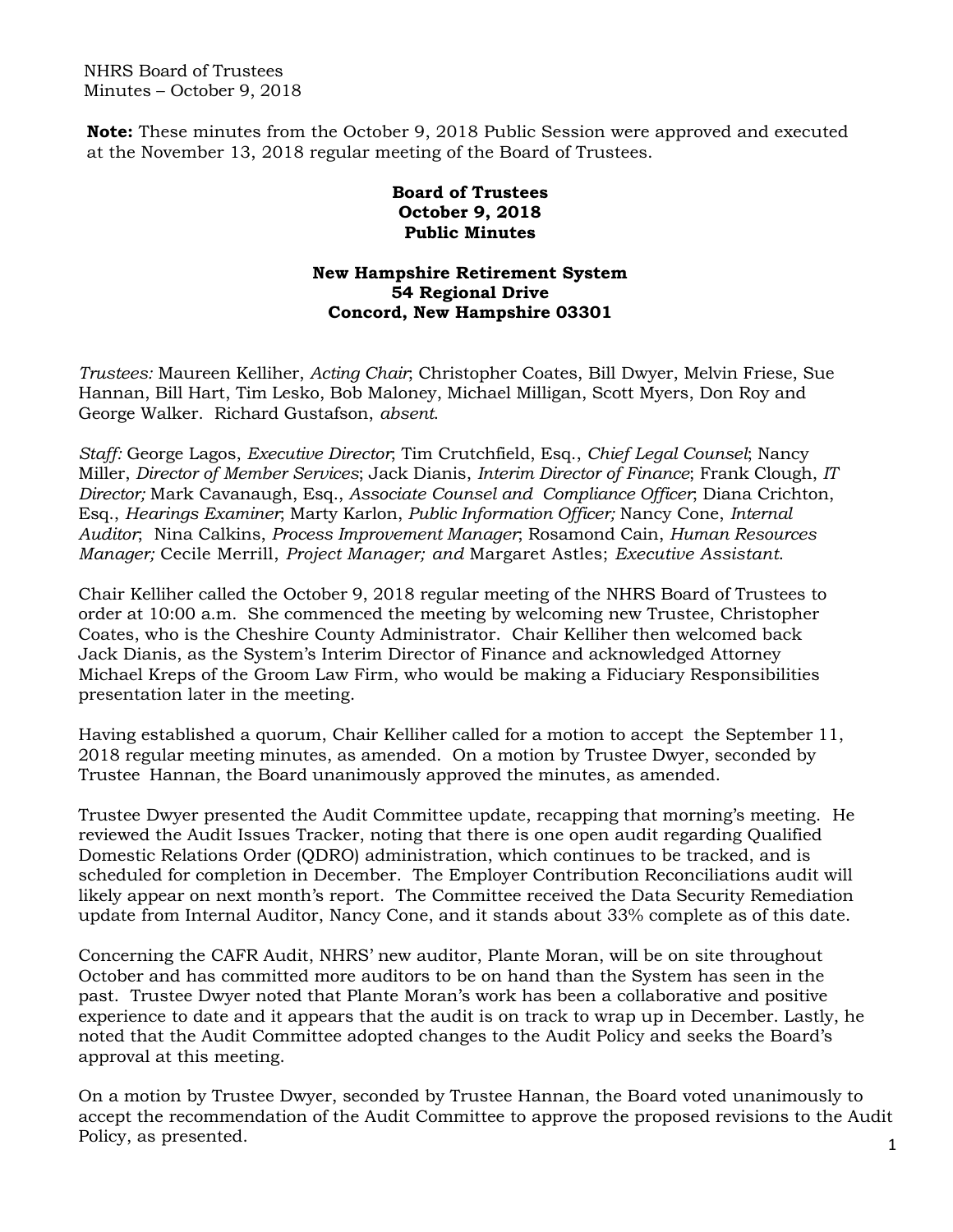NHRS Board of Trustees Minutes – October 9, 2018

**Note:** These minutes from the October 9, 2018 Public Session were approved and executed at the November 13, 2018 regular meeting of the Board of Trustees.

## **Board of Trustees October 9, 2018 Public Minutes**

## **New Hampshire Retirement System 54 Regional Drive Concord, New Hampshire 03301**

*Trustees:* Maureen Kelliher, *Acting Chair*; Christopher Coates, Bill Dwyer, Melvin Friese, Sue Hannan, Bill Hart, Tim Lesko, Bob Maloney, Michael Milligan, Scott Myers, Don Roy and George Walker. Richard Gustafson, *absent*.

*Staff:* George Lagos, *Executive Director*; Tim Crutchfield, Esq., *Chief Legal Counsel*; Nancy Miller, *Director of Member Services*; Jack Dianis, *Interim Director of Finance*; Frank Clough, *IT Director;* Mark Cavanaugh, Esq., *Associate Counsel and Compliance Officer*; Diana Crichton, Esq., *Hearings Examiner*; Marty Karlon, *Public Information Officer;* Nancy Cone, *Internal Auditor*; Nina Calkins, *Process Improvement Manager*; Rosamond Cain, *Human Resources Manager;* Cecile Merrill, *Project Manager; and* Margaret Astles; *Executive Assistant*.

Chair Kelliher called the October 9, 2018 regular meeting of the NHRS Board of Trustees to order at 10:00 a.m. She commenced the meeting by welcoming new Trustee, Christopher Coates, who is the Cheshire County Administrator. Chair Kelliher then welcomed back Jack Dianis, as the System's Interim Director of Finance and acknowledged Attorney Michael Kreps of the Groom Law Firm, who would be making a Fiduciary Responsibilities presentation later in the meeting.

Having established a quorum, Chair Kelliher called for a motion to accept the September 11, 2018 regular meeting minutes, as amended. On a motion by Trustee Dwyer, seconded by Trustee Hannan, the Board unanimously approved the minutes, as amended.

Trustee Dwyer presented the Audit Committee update, recapping that morning's meeting. He reviewed the Audit Issues Tracker, noting that there is one open audit regarding Qualified Domestic Relations Order (QDRO) administration, which continues to be tracked, and is scheduled for completion in December. The Employer Contribution Reconciliations audit will likely appear on next month's report. The Committee received the Data Security Remediation update from Internal Auditor, Nancy Cone, and it stands about 33% complete as of this date.

Concerning the CAFR Audit, NHRS' new auditor, Plante Moran, will be on site throughout October and has committed more auditors to be on hand than the System has seen in the past. Trustee Dwyer noted that Plante Moran's work has been a collaborative and positive experience to date and it appears that the audit is on track to wrap up in December. Lastly, he noted that the Audit Committee adopted changes to the Audit Policy and seeks the Board's approval at this meeting.

On a motion by Trustee Dwyer, seconded by Trustee Hannan, the Board voted unanimously to accept the recommendation of the Audit Committee to approve the proposed revisions to the Audit Policy, as presented. 1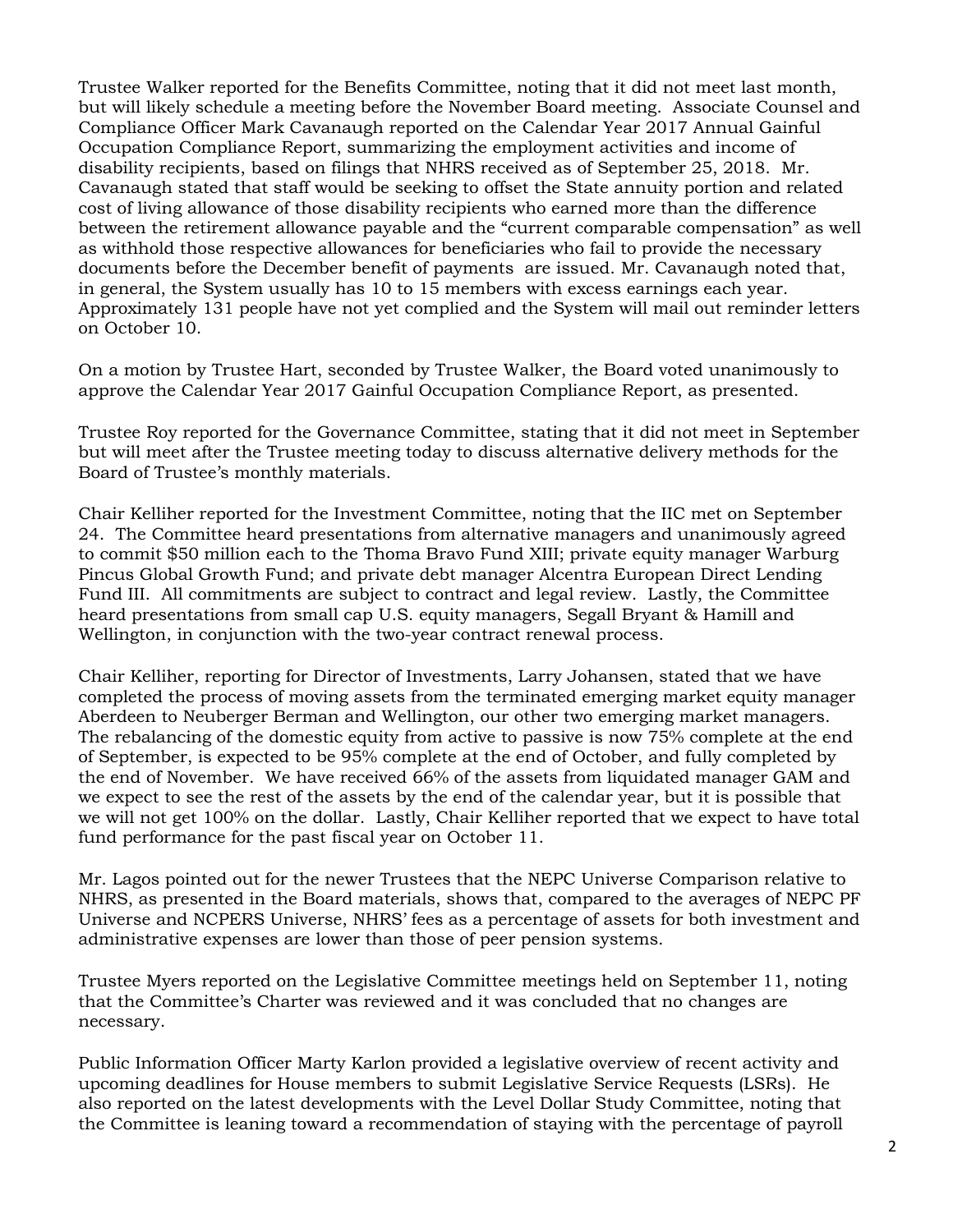Trustee Walker reported for the Benefits Committee, noting that it did not meet last month, but will likely schedule a meeting before the November Board meeting. Associate Counsel and Compliance Officer Mark Cavanaugh reported on the Calendar Year 2017 Annual Gainful Occupation Compliance Report, summarizing the employment activities and income of disability recipients, based on filings that NHRS received as of September 25, 2018. Mr. Cavanaugh stated that staff would be seeking to offset the State annuity portion and related cost of living allowance of those disability recipients who earned more than the difference between the retirement allowance payable and the "current comparable compensation" as well as withhold those respective allowances for beneficiaries who fail to provide the necessary documents before the December benefit of payments are issued. Mr. Cavanaugh noted that, in general, the System usually has 10 to 15 members with excess earnings each year. Approximately 131 people have not yet complied and the System will mail out reminder letters on October 10.

On a motion by Trustee Hart, seconded by Trustee Walker, the Board voted unanimously to approve the Calendar Year 2017 Gainful Occupation Compliance Report, as presented.

Trustee Roy reported for the Governance Committee, stating that it did not meet in September but will meet after the Trustee meeting today to discuss alternative delivery methods for the Board of Trustee's monthly materials.

Chair Kelliher reported for the Investment Committee, noting that the IIC met on September 24. The Committee heard presentations from alternative managers and unanimously agreed to commit \$50 million each to the Thoma Bravo Fund XIII; private equity manager Warburg Pincus Global Growth Fund; and private debt manager Alcentra European Direct Lending Fund III. All commitments are subject to contract and legal review. Lastly, the Committee heard presentations from small cap U.S. equity managers, Segall Bryant & Hamill and Wellington, in conjunction with the two-year contract renewal process.

Chair Kelliher, reporting for Director of Investments, Larry Johansen, stated that we have completed the process of moving assets from the terminated emerging market equity manager Aberdeen to Neuberger Berman and Wellington, our other two emerging market managers. The rebalancing of the domestic equity from active to passive is now 75% complete at the end of September, is expected to be 95% complete at the end of October, and fully completed by the end of November. We have received 66% of the assets from liquidated manager GAM and we expect to see the rest of the assets by the end of the calendar year, but it is possible that we will not get 100% on the dollar. Lastly, Chair Kelliher reported that we expect to have total fund performance for the past fiscal year on October 11.

Mr. Lagos pointed out for the newer Trustees that the NEPC Universe Comparison relative to NHRS, as presented in the Board materials, shows that, compared to the averages of NEPC PF Universe and NCPERS Universe, NHRS' fees as a percentage of assets for both investment and administrative expenses are lower than those of peer pension systems.

Trustee Myers reported on the Legislative Committee meetings held on September 11, noting that the Committee's Charter was reviewed and it was concluded that no changes are necessary.

Public Information Officer Marty Karlon provided a legislative overview of recent activity and upcoming deadlines for House members to submit Legislative Service Requests (LSRs). He also reported on the latest developments with the Level Dollar Study Committee, noting that the Committee is leaning toward a recommendation of staying with the percentage of payroll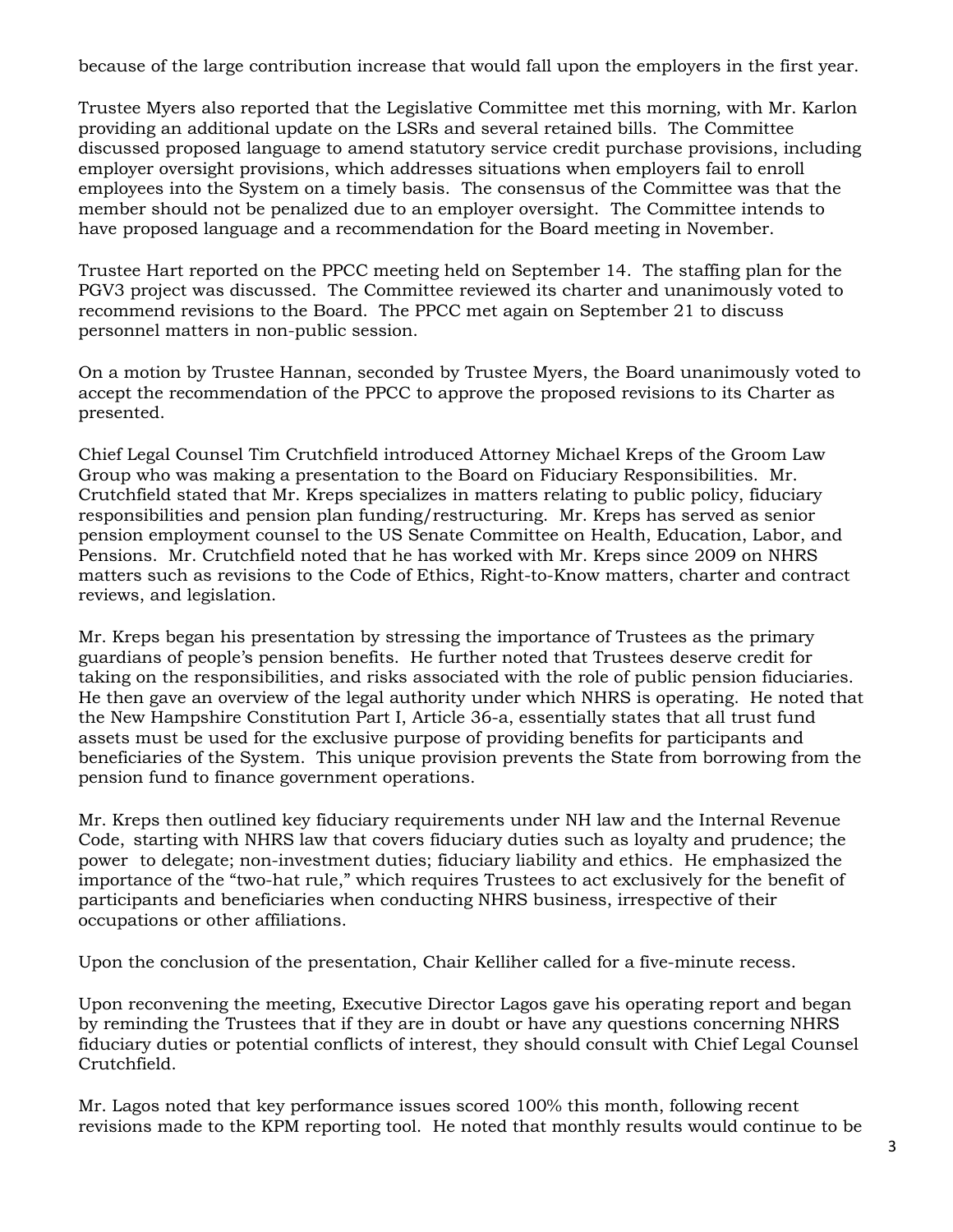because of the large contribution increase that would fall upon the employers in the first year.

Trustee Myers also reported that the Legislative Committee met this morning, with Mr. Karlon providing an additional update on the LSRs and several retained bills. The Committee discussed proposed language to amend statutory service credit purchase provisions, including employer oversight provisions, which addresses situations when employers fail to enroll employees into the System on a timely basis. The consensus of the Committee was that the member should not be penalized due to an employer oversight. The Committee intends to have proposed language and a recommendation for the Board meeting in November.

Trustee Hart reported on the PPCC meeting held on September 14. The staffing plan for the PGV3 project was discussed. The Committee reviewed its charter and unanimously voted to recommend revisions to the Board. The PPCC met again on September 21 to discuss personnel matters in non-public session.

On a motion by Trustee Hannan, seconded by Trustee Myers, the Board unanimously voted to accept the recommendation of the PPCC to approve the proposed revisions to its Charter as presented.

Chief Legal Counsel Tim Crutchfield introduced Attorney Michael Kreps of the Groom Law Group who was making a presentation to the Board on Fiduciary Responsibilities. Mr. Crutchfield stated that Mr. Kreps specializes in matters relating to public policy, fiduciary responsibilities and pension plan funding/restructuring. Mr. Kreps has served as senior pension employment counsel to the US Senate Committee on Health, Education, Labor, and Pensions. Mr. Crutchfield noted that he has worked with Mr. Kreps since 2009 on NHRS matters such as revisions to the Code of Ethics, Right-to-Know matters, charter and contract reviews, and legislation.

Mr. Kreps began his presentation by stressing the importance of Trustees as the primary guardians of people's pension benefits. He further noted that Trustees deserve credit for taking on the responsibilities, and risks associated with the role of public pension fiduciaries. He then gave an overview of the legal authority under which NHRS is operating. He noted that the New Hampshire Constitution Part I, Article 36-a, essentially states that all trust fund assets must be used for the exclusive purpose of providing benefits for participants and beneficiaries of the System. This unique provision prevents the State from borrowing from the pension fund to finance government operations.

Mr. Kreps then outlined key fiduciary requirements under NH law and the Internal Revenue Code, starting with NHRS law that covers fiduciary duties such as loyalty and prudence; the power to delegate; non-investment duties; fiduciary liability and ethics. He emphasized the importance of the "two-hat rule," which requires Trustees to act exclusively for the benefit of participants and beneficiaries when conducting NHRS business, irrespective of their occupations or other affiliations.

Upon the conclusion of the presentation, Chair Kelliher called for a five-minute recess.

Upon reconvening the meeting, Executive Director Lagos gave his operating report and began by reminding the Trustees that if they are in doubt or have any questions concerning NHRS fiduciary duties or potential conflicts of interest, they should consult with Chief Legal Counsel Crutchfield.

Mr. Lagos noted that key performance issues scored 100% this month, following recent revisions made to the KPM reporting tool. He noted that monthly results would continue to be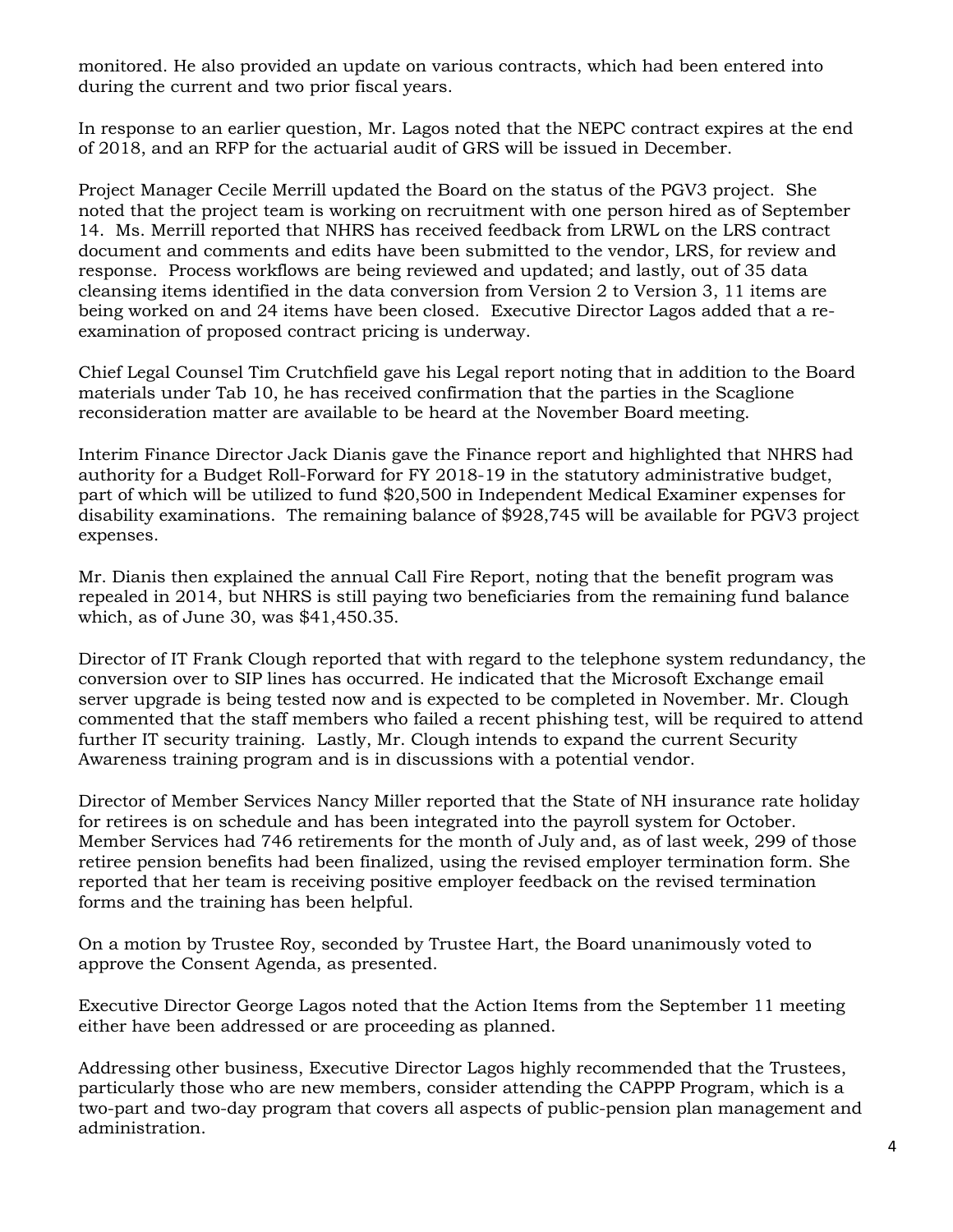monitored. He also provided an update on various contracts, which had been entered into during the current and two prior fiscal years.

In response to an earlier question, Mr. Lagos noted that the NEPC contract expires at the end of 2018, and an RFP for the actuarial audit of GRS will be issued in December.

Project Manager Cecile Merrill updated the Board on the status of the PGV3 project. She noted that the project team is working on recruitment with one person hired as of September 14. Ms. Merrill reported that NHRS has received feedback from LRWL on the LRS contract document and comments and edits have been submitted to the vendor, LRS, for review and response. Process workflows are being reviewed and updated; and lastly, out of 35 data cleansing items identified in the data conversion from Version 2 to Version 3, 11 items are being worked on and 24 items have been closed. Executive Director Lagos added that a reexamination of proposed contract pricing is underway.

Chief Legal Counsel Tim Crutchfield gave his Legal report noting that in addition to the Board materials under Tab 10, he has received confirmation that the parties in the Scaglione reconsideration matter are available to be heard at the November Board meeting.

Interim Finance Director Jack Dianis gave the Finance report and highlighted that NHRS had authority for a Budget Roll-Forward for FY 2018-19 in the statutory administrative budget, part of which will be utilized to fund \$20,500 in Independent Medical Examiner expenses for disability examinations. The remaining balance of \$928,745 will be available for PGV3 project expenses.

Mr. Dianis then explained the annual Call Fire Report, noting that the benefit program was repealed in 2014, but NHRS is still paying two beneficiaries from the remaining fund balance which, as of June 30, was \$41,450.35.

Director of IT Frank Clough reported that with regard to the telephone system redundancy, the conversion over to SIP lines has occurred. He indicated that the Microsoft Exchange email server upgrade is being tested now and is expected to be completed in November. Mr. Clough commented that the staff members who failed a recent phishing test, will be required to attend further IT security training. Lastly, Mr. Clough intends to expand the current Security Awareness training program and is in discussions with a potential vendor.

Director of Member Services Nancy Miller reported that the State of NH insurance rate holiday for retirees is on schedule and has been integrated into the payroll system for October. Member Services had 746 retirements for the month of July and, as of last week, 299 of those retiree pension benefits had been finalized, using the revised employer termination form. She reported that her team is receiving positive employer feedback on the revised termination forms and the training has been helpful.

On a motion by Trustee Roy, seconded by Trustee Hart, the Board unanimously voted to approve the Consent Agenda, as presented.

Executive Director George Lagos noted that the Action Items from the September 11 meeting either have been addressed or are proceeding as planned.

Addressing other business, Executive Director Lagos highly recommended that the Trustees, particularly those who are new members, consider attending the CAPPP Program, which is a two-part and two-day program that covers all aspects of public-pension plan management and administration.